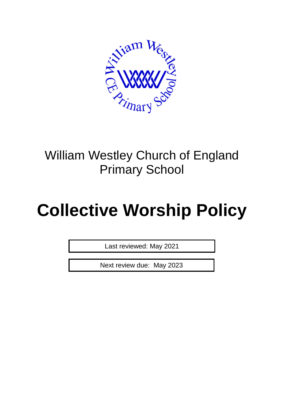

# William Westley Church of England Primary School

# **Collective Worship Policy**

Last reviewed: May 2021

Next review due: May 2023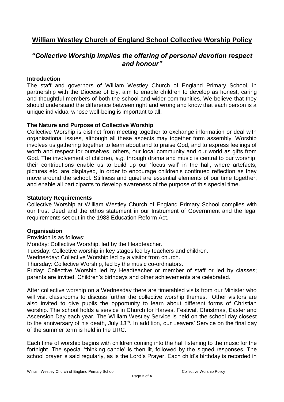## **William Westley Church of England School Collective Worship Policy**

### *"Collective Worship implies the offering of personal devotion respect and honour"*

#### **Introduction**

The staff and governors of William Westley Church of England Primary School, in partnership with the Diocese of Ely, aim to enable children to develop as honest, caring and thoughtful members of both the school and wider communities. We believe that they should understand the difference between right and wrong and know that each person is a unique individual whose well-being is important to all.

#### **The Nature and Purpose of Collective Worship**

Collective Worship is distinct from meeting together to exchange information or deal with organisational issues, although all these aspects may together form assembly. Worship involves us gathering together to learn about and to praise God, and to express feelings of worth and respect for ourselves, others, our local community and our world as gifts from God. The involvement of children, *e.g.* through drama and music is central to our worship; their contributions enable us to build up our 'focus wall' in the hall, where artefacts, pictures etc. are displayed, in order to encourage children's continued reflection as they move around the school. Stillness and quiet are essential elements of our time together, and enable all participants to develop awareness of the purpose of this special time.

#### **Statutory Requirements**

Collective Worship at William Westley Church of England Primary School complies with our trust Deed and the ethos statement in our Instrument of Government and the legal requirements set out in the 1988 Education Reform Act.

#### **Organisation**

Provision is as follows:

Monday: Collective Worship, led by the Headteacher.

Tuesday: Collective worship in key stages led by teachers and children.

Wednesday: Collective Worship led by a visitor from church.

Thursday: Collective Worship, led by the music co-ordinators.

Friday: Collective Worship led by Headteacher or member of staff or led by classes; parents are invited. Children's birthdays and other achievements are celebrated.

After collective worship on a Wednesday there are timetabled visits from our Minister who will visit classrooms to discuss further the collective worship themes. Other visitors are also invited to give pupils the opportunity to learn about different forms of Christian worship. The school holds a service in Church for Harvest Festival, Christmas, Easter and Ascension Day each year. The William Westley Service is held on the school day closest to the anniversary of his death, July 13<sup>th</sup>. In addition, our Leavers' Service on the final day of the summer term is held in the URC.

Each time of worship begins with children coming into the hall listening to the music for the fortnight. The special 'thinking candle' is then lit, followed by the signed responses. The school prayer is said regularly, as is the Lord's Prayer. Each child's birthday is recorded in

Page **2** of **4**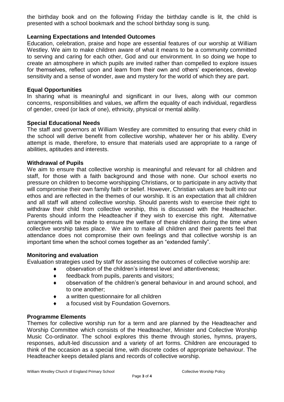the birthday book and on the following Friday the birthday candle is lit, the child is presented with a school bookmark and the school birthday song is sung.

#### **Learning Expectations and Intended Outcomes**

Education, celebration, praise and hope are essential features of our worship at William Westley. We aim to make children aware of what it means to be a community committed to serving and caring for each other, God and our environment. In so doing we hope to create an atmosphere in which pupils are invited rather than compelled to explore issues for themselves, reflect upon and learn from their own and others' experiences, develop sensitivity and a sense of wonder, awe and mystery for the world of which they are part.

#### **Equal Opportunities**

In sharing what is meaningful and significant in our lives, along with our common concerns, responsibilities and values, we affirm the equality of each individual, regardless of gender, creed (or lack of one), ethnicity, physical or mental ability.

#### **Special Educational Needs**

The staff and governors at William Westley are committed to ensuring that every child in the school will derive benefit from collective worship, whatever her or his ability. Every attempt is made, therefore, to ensure that materials used are appropriate to a range of abilities, aptitudes and interests.

#### **Withdrawal of Pupils**

We aim to ensure that collective worship is meaningful and relevant for all children and staff, for those with a faith background and those with none. Our school exerts no pressure on children to become worshipping Christians, or to participate in any activity that will compromise their own family faith or belief. However, Christian values are built into our ethos and are reflected in the themes of our worship. It is an expectation that all children and all staff will attend collective worship. Should parents wish to exercise their right to withdraw their child from collective worship, this is discussed with the Headteacher. Parents should inform the Headteacher if they wish to exercise this right. Alternative arrangements will be made to ensure the welfare of these children during the time when collective worship takes place. We aim to make all children and their parents feel that attendance does not compromise their own feelings and that collective worship is an important time when the school comes together as an "extended family".

#### **Monitoring and evaluation**

Evaluation strategies used by staff for assessing the outcomes of collective worship are:

- observation of the children's interest level and attentiveness;
- $\bullet$  feedback from pupils, parents and visitors;
- observation of the children's general behaviour in and around school, and to one another;
- a written questionnaire for all children
- a focused visit by Foundation Governors.

#### **Programme Elements**

Themes for collective worship run for a term and are planned by the Headteacher and Worship Committee which consists of the Headteacher, Minister and Collective Worship Music Co-ordinator. The school explores this theme through stories, hymns, prayers, responses, adult-led discussion and a variety of art forms. Children are encouraged to think of the occasion as a special time, with discrete codes of appropriate behaviour. The Headteacher keeps detailed plans and records of collective worship.